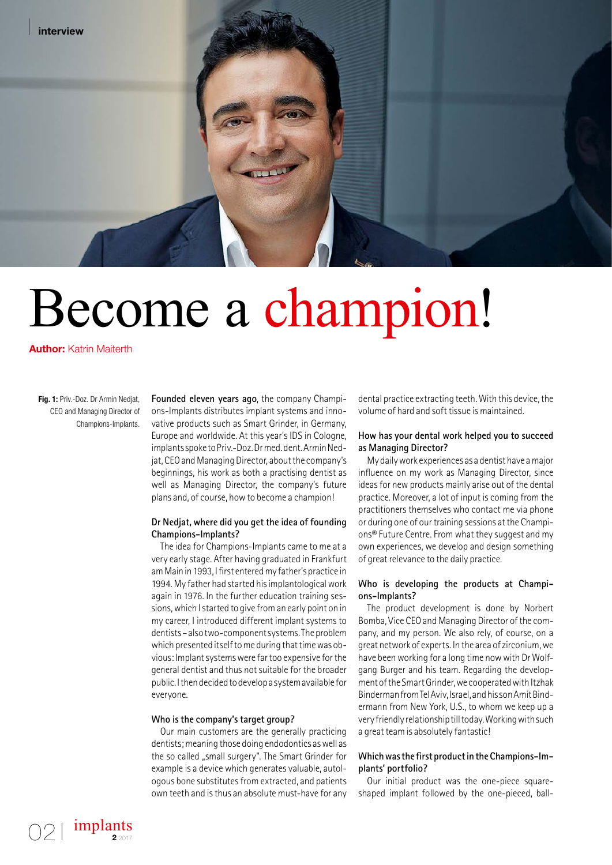

# Become a champion!

**Author:** Katrin Maiterth

**Fig. 1:** Priv.-Doz. Dr Armin Nedjat, CEO and Managing Director of Champions-Implants.

implants

**2** 2017

**Founded eleven years ago**, the company Champions-Implants distributes implant systems and innovative products such as Smart Grinder, in Germany, Europe and worldwide. At this year's IDS in Cologne, implants spoke to Priv.-Doz. Dr med. dent. Armin Nedjat, CEO and Managing Director, about the company's beginnings, his work as both a practising dentist as well as Managing Director, the company's future plans and, of course, how to become a champion!

## **Dr Nedjat, where did you get the idea of founding Champions-Implants?**

The idea for Champions-Implants came to me at a very early stage. After having graduated in Frankfurt am Main in 1993, I first entered my father's practice in 1994. My father had started his implantological work again in 1976. In the further education training sessions, which I started to give from an early point on in my career, I introduced different implant systems to dentists – also two-component systems. The problem which presented itself to me during that time was obvious: Implant systems were far too expensive for the general dentist and thus not suitable for the broader public. I then decided to develop a system available for everyone.

#### **Who is the company's target group?**

Our main customers are the generally practicing dentists; meaning those doing endodontics as well as the so called "small surgery". The Smart Grinder for example is a device which generates valuable, autologous bone substitutes from extracted, and patients own teeth and is thus an absolute must-have for any dental practice extracting teeth. With this device, the volume of hard and soft tissue is maintained.

#### **How has your dental work helped you to succeed as Managing Director?**

My daily work experiences as a dentist have a major influence on my work as Managing Director, since ideas for new products mainly arise out of the dental practice. Moreover, a lot of input is coming from the practitioners themselves who contact me via phone or during one of our training sessions at the Champions® Future Centre. From what they suggest and my own experiences, we develop and design something of great relevance to the daily practice.

#### **Who is developing the products at Champions-Implants?**

The product development is done by Norbert Bomba, Vice CEO and Managing Director of the company, and my person. We also rely, of course, on a great network of experts. In the area of zirconium, we have been working for a long time now with Dr Wolfgang Burger and his team. Regarding the development of the Smart Grinder, we cooperated with Itzhak Binderman from Tel Aviv, Israel, and his son Amit Bindermann from New York, U.S., to whom we keep up a very friendly relationship till today. Working with such a great team is absolutely fantastic!

## **Which was the first product in the Champions-Implants' portfolio?**

Our initial product was the one-piece squareshaped implant followed by the one-pieced, ball